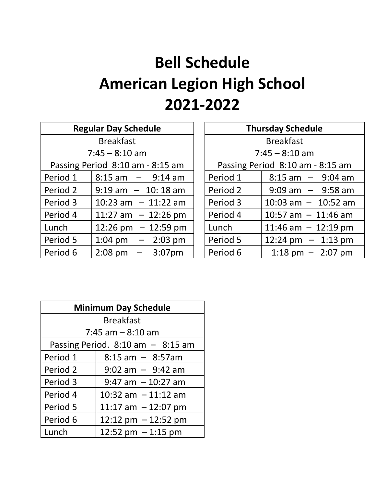## **Bell Schedule American Legion High School 2021-2022**

| <b>Regular Day Schedule</b>      |                                       |          | <b>Thursday Schedule</b>            |
|----------------------------------|---------------------------------------|----------|-------------------------------------|
| <b>Breakfast</b>                 |                                       |          | <b>Breakfast</b>                    |
| $7:45 - 8:10$ am                 |                                       |          | $7:45 - 8:10$ am                    |
| Passing Period 8:10 am - 8:15 am |                                       |          | Passing Period 8:10 am - 8:15 am    |
| Period 1                         | $8:15$ am $-$ 9:14 am                 | Period 1 | $8:15$ am $-$ 9:04 am               |
| Period 2                         | $9:19$ am $-10:18$ am                 | Period 2 | $9:09$ am $-$ 9:58 am               |
| Period 3                         | 10:23 am $-11:22$ am                  | Period 3 | 10:03 am $-$ 10:52 am               |
| Period 4                         | 11:27 am $-$ 12:26 pm                 | Period 4 | 10:57 am $-$ 11:46 am               |
| Lunch                            | 12:26 pm $-$ 12:59 pm                 | Lunch    | 11:46 am $-$ 12:19 pm               |
| Period 5                         | $1:04 \text{ pm } - 2:03 \text{ pm }$ | Period 5 | 12:24 pm $-$ 1:13 pm                |
| Period 6                         | $2:08 \text{ pm } - 3:07 \text{ pm }$ | Period 6 | $1:18 \text{ pm} - 2:07 \text{ pm}$ |

| <b>Regular Day Schedule</b>      |                                       |                                  | <b>Thursday Schedule</b> |                         |
|----------------------------------|---------------------------------------|----------------------------------|--------------------------|-------------------------|
| <b>Breakfast</b>                 |                                       |                                  | <b>Breakfast</b>         |                         |
| $7:45 - 8:10$ am                 |                                       |                                  | $7:45 - 8:10$ am         |                         |
| Passing Period 8:10 am - 8:15 am |                                       | Passing Period 8:10 am - 8:15 am |                          |                         |
| Period 1                         | $8:15$ am $-$ 9:14 am                 |                                  | Period 1                 | $8:15$ am $-$ 9:04 am   |
| Period 2                         | $9:19$ am $-10:18$ am                 |                                  | Period 2                 | $9:09$ am $-$ 9:58 am   |
| Period 3                         | $10:23$ am $-11:22$ am                |                                  | Period 3                 | $10:03$ am $- 10:52$ am |
| Period 4                         | 11:27 am $-12:26$ pm                  |                                  | Period 4                 | 10:57 am $-$ 11:46 am   |
| Lunch                            | 12:26 pm $-12:59$ pm                  |                                  | Lunch                    | 11:46 am $-$ 12:19 pm   |
| Period 5                         | $1:04 \text{ pm } - 2:03 \text{ pm }$ |                                  | Period 5                 | 12:24 pm $-$ 1:13 pm    |
| Period 6                         | $2:08 \text{ pm } - 3:07 \text{ pm }$ |                                  | Period 6                 | 1:18 pm $-$ 2:07 pm     |

| <b>Minimum Day Schedule</b>           |                       |  |  |  |
|---------------------------------------|-----------------------|--|--|--|
| <b>Breakfast</b>                      |                       |  |  |  |
| $7:45$ am $-8:10$ am                  |                       |  |  |  |
| Passing Period. $8:10$ am $-$ 8:15 am |                       |  |  |  |
| Period 1                              | $8:15$ am $-$ 8:57am  |  |  |  |
| Period 2                              | $9:02$ am $-9:42$ am  |  |  |  |
| Period 3                              | $9:47$ am $-10:27$ am |  |  |  |
| Period 4                              | 10:32 am $-11:12$ am  |  |  |  |
| Period 5                              | 11:17 am $-12:07$ pm  |  |  |  |
| Period 6                              | 12:12 pm $-12:52$ pm  |  |  |  |
| Lunch                                 | 12:52 pm $-1:15$ pm   |  |  |  |